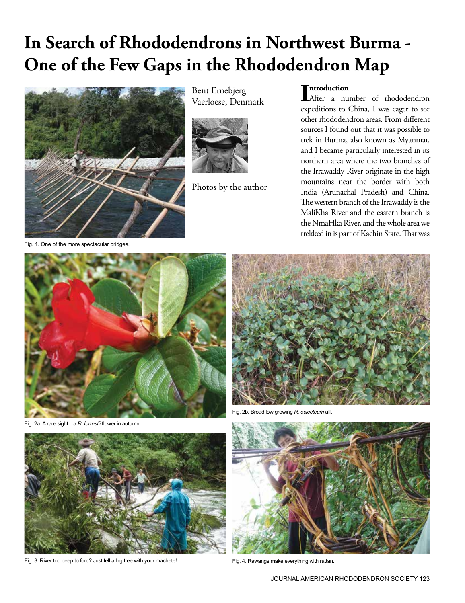# **In Search of Rhododendrons in Northwest Burma - One of the Few Gaps in the Rhododendron Map**



Bent Ernebjerg Vaerloese, Denmark



Photos by the author

# **ntroduction**

**Introduction**<br>After a number of rhododendron expeditions to China, I was eager to see other rhododendron areas. From different sources I found out that it was possible to trek in Burma, also known as Myanmar, and I became particularly interested in its northern area where the two branches of the Irrawaddy River originate in the high mountains near the border with both India (Arunachal Pradesh) and China. The western branch of the Irrawaddy is the MaliKha River and the eastern branch is the NmaHka River, and the whole area we trekked in is part of Kachin State. That was

Fig. 1. One of the more spectacular bridges.



2a. A rare sight—a *R. forrestii* flower in autumn



Broad low growing *R. eclecteum* aff



Fig. 3. River too deep to ford? Just fell a big tree with your machete! Fig. 4. Rawangs make everything with rattan.

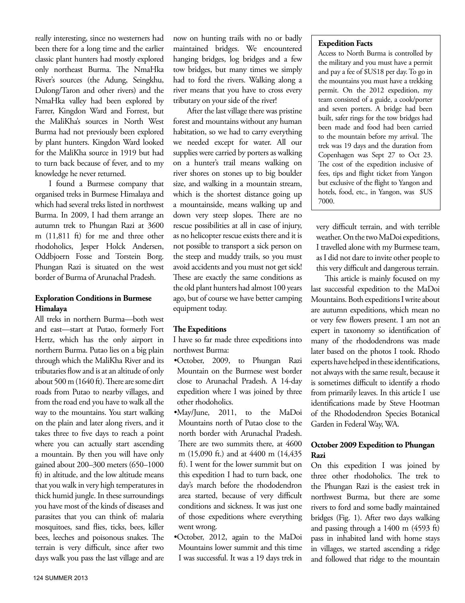really interesting, since no westerners had been there for a long time and the earlier classic plant hunters had mostly explored only northeast Burma. The NmaHka River's sources (the Adung, Seingkhu, Dulong/Taron and other rivers) and the NmaHka valley had been explored by Farrer, Kingdon Ward and Forrest, but the MaliKha's sources in North West Burma had not previously been explored by plant hunters. Kingdon Ward looked for the MaliKha source in 1919 but had to turn back because of fever, and to my knowledge he never returned.

I found a Burmese company that organised treks in Burmese Himalaya and which had several treks listed in northwest Burma. In 2009, I had them arrange an autumn trek to Phungan Razi at 3600 m (11,811 ft) for me and three other rhodoholics, Jesper Holck Andersen, Oddbjoern Fosse and Torstein Borg. Phungan Razi is situated on the west border of Burma of Arunachal Pradesh.

### **Exploration Conditions in Burmese Himalaya**

All treks in northern Burma—both west and east—start at Putao, formerly Fort Hertz, which has the only airport in northern Burma. Putao lies on a big plain through which the MaliKha River and its tributaries flow and is at an altitude of only about 500 m (1640 ft). There are some dirt roads from Putao to nearby villages, and from the road end you have to walk all the way to the mountains. You start walking on the plain and later along rivers, and it takes three to five days to reach a point where you can actually start ascending a mountain. By then you will have only gained about 200–300 meters (650–1000 ft) in altitude, and the low altitude means that you walk in very high temperatures in thick humid jungle. In these surroundings you have most of the kinds of diseases and parasites that you can think of: malaria mosquitoes, sand flies, ticks, bees, killer bees, leeches and poisonous snakes. The terrain is very difficult, since after two days walk you pass the last village and are

now on hunting trails with no or badly maintained bridges. We encountered hanging bridges, log bridges and a few tow bridges, but many times we simply had to ford the rivers. Walking along a river means that you have to cross every tributary on your side of the river!

After the last village there was pristine forest and mountains without any human habitation, so we had to carry everything we needed except for water. All our supplies were carried by porters as walking on a hunter's trail means walking on river shores on stones up to big boulder size, and walking in a mountain stream, which is the shortest distance going up a mountainside, means walking up and down very steep slopes. There are no rescue possibilities at all in case of injury, as no helicopter rescue exists there and it is not possible to transport a sick person on the steep and muddy trails, so you must avoid accidents and you must not get sick! These are exactly the same conditions as the old plant hunters had almost 100 years ago, but of course we have better camping equipment today.

## **The Expeditions**

I have so far made three expeditions into northwest Burma:

- •October, 2009, to Phungan Razi Mountain on the Burmese west border close to Arunachal Pradesh. A 14-day expedition where I was joined by three other rhodoholics.
- •May/June, 2011, to the MaDoi Mountains north of Putao close to the north border with Arunachal Pradesh. There are two summits there, at 4600 m (15,090 ft.) and at 4400 m (14,435 ft). I went for the lower summit but on this expedition I had to turn back, one day's march before the rhododendron area started, because of very difficult conditions and sickness. It was just one of those expeditions where everything went wrong.
- •October, 2012, again to the MaDoi Mountains lower summit and this time I was successful. It was a 19 days trek in

#### **Expedition Facts**

Access to North Burma is controlled by the military and you must have a permit and pay a fee of \$US18 per day. To go in the mountains you must have a trekking permit. On the 2012 expedition, my team consisted of a guide, a cook/porter and seven porters. A bridge had been built, safer rings for the tow bridges had been made and food had been carried to the mountain before my arrival. The trek was 19 days and the duration from Copenhagen was Sept 27 to Oct 23. The cost of the expedition inclusive of fees, tips and flight ticket from Yangon but exclusive of the flight to Yangon and hotels, food, etc., in Yangon, was \$US 7000.

very difficult terrain, and with terrible weather. On the two MaDoi expeditions, I travelled alone with my Burmese team, as I did not dare to invite other people to this very difficult and dangerous terrain.

This article is mainly focused on my last successful expedition to the MaDoi Mountains. Both expeditions I write about are autumn expeditions, which mean no or very few flowers present. I am not an expert in taxonomy so identification of many of the rhododendrons was made later based on the photos I took. Rhodo experts have helped in these identifications, not always with the same result, because it is sometimes difficult to identify a rhodo from primarily leaves. In this article I use identifications made by Steve Hootman of the Rhododendron Species Botanical Garden in Federal Way, WA.

# **October 2009 Expedition to Phungan Razi**

On this expedition I was joined by three other rhodoholics. The trek to the Phungan Razi is the easiest trek in northwest Burma, but there are some rivers to ford and some badly maintained bridges (Fig. 1). After two days walking and passing through a 1400 m (4593 ft) pass in inhabited land with home stays in villages, we started ascending a ridge and followed that ridge to the mountain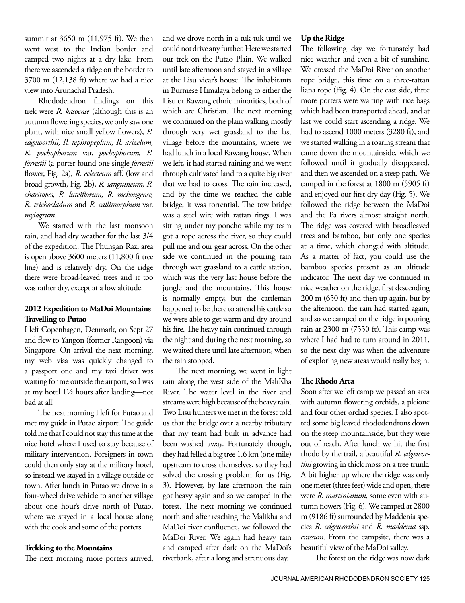summit at 3650 m (11,975 ft). We then went west to the Indian border and camped two nights at a dry lake. From there we ascended a ridge on the border to 3700 m (12,138 ft) where we had a nice view into Arunachal Pradesh.

Rhododendron findings on this trek were *R. kasoense* (although this is an autumn flowering species, we only saw one plant, with nice small yellow flowers), *R. edgeworthii, R. tephropeplum, R. arizelum, R. pochophorum* var. *pochophorum, R. forrestii* (a porter found one single *forrestii*  flower, Fig. 2a), *R. eclecteum* aff. (low and broad growth, Fig. 2b), *R. sanguineum, R. charitopes, R. luteiflorum, R. mekongense, R. trichocladum* and *R. callimorphum* var. *myiagrum*.

We started with the last monsoon rain, and had dry weather for the last 3/4 of the expedition. The Phungan Razi area is open above 3600 meters (11,800 ft tree line) and is relatively dry. On the ridge there were broad-leaved trees and it too was rather dry, except at a low altitude.

# **2012 Expedition to MaDoi Mountains Travelling to Putao**

I left Copenhagen, Denmark, on Sept 27 and flew to Yangon (former Rangoon) via Singapore. On arrival the next morning, my web visa was quickly changed to a passport one and my taxi driver was waiting for me outside the airport, so I was at my hotel 1½ hours after landing—not bad at all!

The next morning I left for Putao and met my guide in Putao airport. The guide told me that I could not stay this time at the nice hotel where I used to stay because of military intervention. Foreigners in town could then only stay at the military hotel, so instead we stayed in a village outside of town. After lunch in Putao we drove in a four-wheel drive vehicle to another village about one hour's drive north of Putao, where we stayed in a local house along with the cook and some of the porters.

#### **Trekking to the Mountains**

The next morning more porters arrived,

and we drove north in a tuk-tuk until we could not drive any further. Here we started our trek on the Putao Plain. We walked until late afternoon and stayed in a village at the Lisu vicar's house. The inhabitants in Burmese Himalaya belong to either the Lisu or Rawang ethnic minorities, both of which are Christian. The next morning we continued on the plain walking mostly through very wet grassland to the last village before the mountains, where we had lunch in a local Rawang house. When we left, it had started raining and we went through cultivated land to a quite big river that we had to cross. The rain increased, and by the time we reached the cable bridge, it was torrential. The tow bridge was a steel wire with rattan rings. I was sitting under my poncho while my team got a rope across the river, so they could pull me and our gear across. On the other side we continued in the pouring rain through wet grassland to a cattle station, which was the very last house before the jungle and the mountains. This house is normally empty, but the cattleman happened to be there to attend his cattle so we were able to get warm and dry around his fire. The heavy rain continued through the night and during the next morning, so we waited there until late afternoon, when the rain stopped.

The next morning, we went in light rain along the west side of the MaliKha River. The water level in the river and streams were high because of the heavy rain. Two Lisu hunters we met in the forest told us that the bridge over a nearby tributary that my team had built in advance had been washed away. Fortunately though, they had felled a big tree 1.6 km (one mile) upstream to cross themselves, so they had solved the crossing problem for us (Fig. 3). However, by late afternoon the rain got heavy again and so we camped in the forest. The next morning we continued north and after reaching the Malikha and MaDoi river confluence, we followed the MaDoi River. We again had heavy rain and camped after dark on the MaDoi's riverbank, after a long and strenuous day.

#### **Up the Ridge**

The following day we fortunately had nice weather and even a bit of sunshine. We crossed the MaDoi River on another rope bridge, this time on a three-rattan liana rope (Fig. 4). On the east side, three more porters were waiting with rice bags which had been transported ahead, and at last we could start ascending a ridge. We had to ascend 1000 meters (3280 ft), and we started walking in a roaring stream that came down the mountainside, which we followed until it gradually disappeared, and then we ascended on a steep path. We camped in the forest at 1800 m (5905 ft) and enjoyed our first dry day (Fig. 5). We followed the ridge between the MaDoi and the Pa rivers almost straight north. The ridge was covered with broadleaved trees and bamboo, but only one species at a time, which changed with altitude. As a matter of fact, you could use the bamboo species present as an altitude indicator. The next day we continued in nice weather on the ridge, first descending 200 m (650 ft) and then up again, but by the afternoon, the rain had started again, and so we camped on the ridge in pouring rain at 2300 m (7550 ft). This camp was where I had had to turn around in 2011, so the next day was when the adventure of exploring new areas would really begin.

#### **The Rhodo Area**

Soon after we left camp we passed an area with autumn flowering orchids, a pleione and four other orchid species. I also spotted some big leaved rhododendrons down on the steep mountainside, but they were out of reach. After lunch we hit the first rhodo by the trail, a beautiful *R. edgeworthii* growing in thick moss on a tree trunk. A bit higher up where the ridge was only one meter (three feet) wide and open, there were *R. martinianum,* some even with autumn flowers (Fig. 6). We camped at 2800 m (9186 ft) surrounded by Maddenia species *R. edgeworthii* and *R. maddenia* ssp. *crassum*. From the campsite, there was a beautiful view of the MaDoi valley.

The forest on the ridge was now dark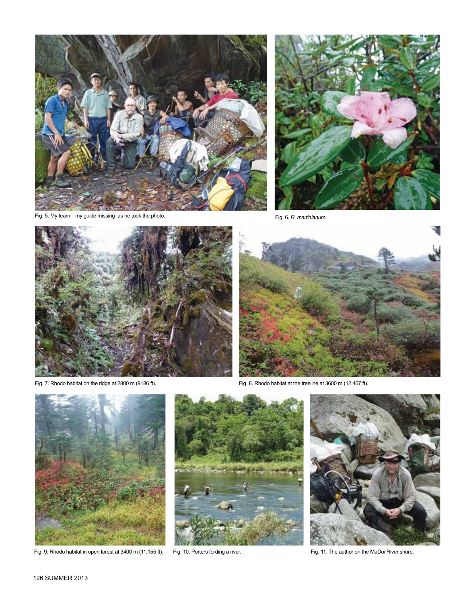

Fig. 5. My team—my guide missing as he took the photo.<br>Fig. 6. R. martinianum.







Fig. 7. Rhodo habitat on the ridge at 2800 m (9186 ft). Fig. 8. Rhodo habitat at the treeline at 3600 m (12,467 ft).



Fig. 9. Rhodo habitat in open forest at 3400 m (11,155 ft). Fig. 10. Porters fording a river. Fig. 11. The author on the MaDoi River shore.



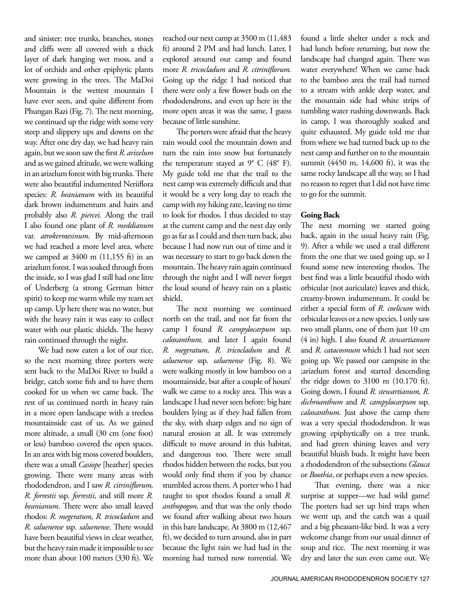and sinister: tree trunks, branches, stones and cliffs were all covered with a thick layer of dark hanging wet moss, and a lot of orchids and other epiphytic plants were growing in the trees. The MaDoi Mountain is the wettest mountain I have ever seen, and quite different from Phungan Razi (Fig. 7). The next morning, we continued up the ridge with some very steep and slippery ups and downs on the way. After one dry day, we had heavy rain again, but we soon saw the first *R. arizelum* and as we gained altitude, we were walking in an arizelum forest with big trunks. There were also beautiful indumented Neriiflora species: *R. beanianum* with its beautiful dark brown indumentum and hairs and probably also *R. piercei.* Along the trail I also found one plant of *R. meddianum*  var*. atrokermesinum*. By mid-afternoon we had reached a more level area, where we camped at 3400 m (11,155 ft) in an arizelum forest. I was soaked through from the inside, so I was glad I still had one litre of Underberg (a strong German bitter spirit) to keep me warm while my team set up camp. Up here there was no water, but with the heavy rain it was easy to collect water with our plastic shields. The heavy rain continued through the night.

We had now eaten a lot of our rice, so the next morning three porters were sent back to the MaDoi River to build a bridge, catch some fish and to have them cooked for us when we came back. The rest of us continued north in heavy rain in a more open landscape with a treeless mountainside east of us. As we gained more altitude, a small (30 cm (one foot) or less) bamboo covered the open spaces. In an area with big moss covered boulders, there was a small *Casiope* [heather] species growing. There were many areas with rhododendron, and I saw *R. citriniflorum, R. forrestii* ssp. *forrestii*, and still more *R. beanianum*. There were also small leaved rhodos: *R. megeratum, R. tricocladum* and *R. saluenense* ssp*. saluenense*. There would have been beautiful views in clear weather, but the heavy rain made it impossible to see more than about 100 meters (330 ft). We

reached our next camp at 3500 m (11,483 ft) around 2 PM and had lunch. Later, I explored around our camp and found more *R. tricocladum* and *R. citriniflorum*. Going up the ridge I had noticed that there were only a few flower buds on the rhododendrons, and even up here in the more open areas it was the same, I guess because of little sunshine.

The porters were afraid that the heavy rain would cool the mountain down and turn the rain into snow but fortunately the temperature stayed at  $9^{\circ}$  C (48 $^{\circ}$  F). My guide told me that the trail to the next camp was extremely difficult and that it would be a very long day to reach the camp with my hiking rate, leaving no time to look for rhodos. I thus decided to stay at the current camp and the next day only go as far as I could and then turn back, also because I had now run out of time and it was necessary to start to go back down the mountain. The heavy rain again continued through the night and I will never forget the loud sound of heavy rain on a plastic shield.

The next morning we continued north on the trail, and not far from the camp I found *R. campylocarpum* ssp. *caloxanthum,* and later I again found *R. megeratum, R. tricocladum* and *R. saluenense* ssp. *saluenense* (Fig. 8). We were walking mostly in low bamboo on a mountainside, but after a couple of hours' walk we came to a rocky area. This was a landscape I had never seen before: big bare boulders lying as if they had fallen from the sky, with sharp edges and no sign of natural erosion at all. It was extremely difficult to move around in this habitat, and dangerous too. There were small rhodos hidden between the rocks, but you would only find them if you by chance stumbled across them. A porter who I had taught to spot rhodos found a small *R. anthopogon,* and that was the only rhodo we found after walking about two hours in this bare landscape. At 3800 m (12,467 ft), we decided to turn around, also in part because the light rain we had had in the morning had turned now torrential. We

found a little shelter under a rock and had lunch before returning, but now the landscape had changed again. There was water everywhere! When we came back to the bamboo area the trail had turned to a stream with ankle deep water, and the mountain side had white strips of tumbling water rushing downwards. Back in camp, I was thoroughly soaked and quite exhausted. My guide told me that from where we had turned back up to the next camp and further on to the mountain summit (4450 m, 14,600 ft), it was the same rocky landscape all the way, so I had no reason to regret that I did not have time to go for the summit.

#### **Going Back**

The next morning we started going back, again in the usual heavy rain (Fig. 9). After a while we used a trail different from the one that we used going up, so I found some new interesting rhodos. The best find was a little beautiful rhodo with orbicular (not auriculate) leaves and thick, creamy-brown indumentum. It could be either a special form of *R. coelicum* with orbicular leaves or a new species. I only saw two small plants, one of them just 10 cm (4 in) high. I also found *R. stewartianum* and *R. catacosmum* which I had not seen going up. We passed our campsite in the ;arizelum forest and started descending the ridge down to 3100 m (10.170 ft). Going down, I found *R. stewartianum, R. dichroanthum* and *R. campylocarpum* ssp. *caloxanthum*. Just above the camp there was a very special rhododendron. It was growing epiphytically on a tree trunk, and had green shining leaves and very beautiful bluish buds. It might have been a rhododendron of the subsections *Glauca*  or *Boothia*, or perhaps even a new species.

That evening, there was a nice surprise at supper—we had wild game! The porters had set up bird traps when we went up, and the catch was a quail and a big pheasant-like bird. It was a very welcome change from our usual dinner of soup and rice. The next morning it was dry and later the sun even came out. We